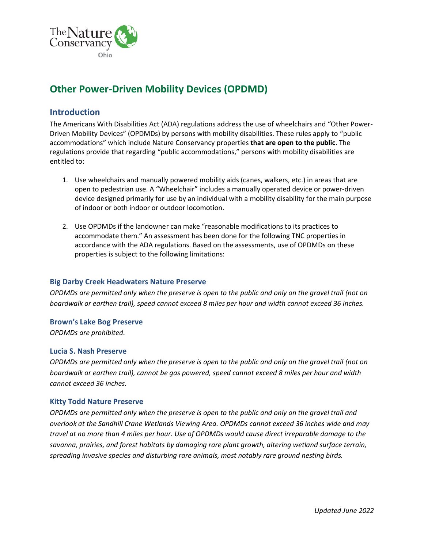

# **Other Power-Driven Mobility Devices (OPDMD)**

### **Introduction**

The Americans With Disabilities Act (ADA) regulations address the use of wheelchairs and "Other Power-Driven Mobility Devices" (OPDMDs) by persons with mobility disabilities. These rules apply to "public accommodations" which include Nature Conservancy properties **that are open to the public**. The regulations provide that regarding "public accommodations," persons with mobility disabilities are entitled to:

- 1. Use wheelchairs and manually powered mobility aids (canes, walkers, etc.) in areas that are open to pedestrian use. A "Wheelchair" includes a manually operated device or power-driven device designed primarily for use by an individual with a mobility disability for the main purpose of indoor or both indoor or outdoor locomotion.
- 2. Use OPDMDs if the landowner can make "reasonable modifications to its practices to accommodate them." An assessment has been done for the following TNC properties in accordance with the ADA regulations. Based on the assessments, use of OPDMDs on these properties is subject to the following limitations:

#### **Big Darby Creek Headwaters Nature Preserve**

*OPDMDs are permitted only when the preserve is open to the public and only on the gravel trail (not on boardwalk or earthen trail), speed cannot exceed 8 miles per hour and width cannot exceed 36 inches.*

#### **Brown's Lake Bog Preserve**

*OPDMDs are prohibited.*

#### **Lucia S. Nash Preserve**

*OPDMDs are permitted only when the preserve is open to the public and only on the gravel trail (not on boardwalk or earthen trail), cannot be gas powered, speed cannot exceed 8 miles per hour and width cannot exceed 36 inches.*

#### **Kitty Todd Nature Preserve**

*OPDMDs are permitted only when the preserve is open to the public and only on the gravel trail and overlook at the Sandhill Crane Wetlands Viewing Area. OPDMDs cannot exceed 36 inches wide and may travel at no more than 4 miles per hour. Use of OPDMDs would cause direct irreparable damage to the savanna, prairies, and forest habitats by damaging rare plant growth, altering wetland surface terrain, spreading invasive species and disturbing rare animals, most notably rare ground nesting birds.*